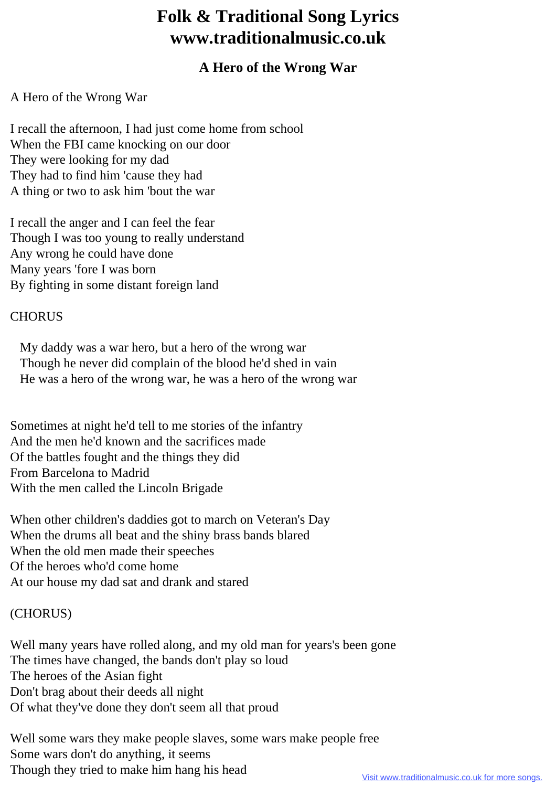# **Folk & Traditional Song Lyrics www.traditionalmusic.co.uk**

# **A Hero of the Wrong War**

## A Hero of the Wrong War

I recall the afternoon, I had just come home from school When the FBI came knocking on our door They were looking for my dad They had to find him 'cause they had A thing or two to ask him 'bout the war

I recall the anger and I can feel the fear Though I was too young to really understand Any wrong he could have done Many years 'fore I was born By fighting in some distant foreign land

### **CHORUS**

 My daddy was a war hero, but a hero of the wrong war Though he never did complain of the blood he'd shed in vain He was a hero of the wrong war, he was a hero of the wrong war

Sometimes at night he'd tell to me stories of the infantry And the men he'd known and the sacrifices made Of the battles fought and the things they did From Barcelona to Madrid With the men called the Lincoln Brigade

When other children's daddies got to march on Veteran's Day When the drums all beat and the shiny brass bands blared When the old men made their speeches Of the heroes who'd come home At our house my dad sat and drank and stared

### (CHORUS)

Well many years have rolled along, and my old man for years's been gone The times have changed, the bands don't play so loud The heroes of the Asian fight Don't brag about their deeds all night Of what they've done they don't seem all that proud

Well some wars they make people slaves, some wars make people free Some wars don't do anything, it seems Though they tried to make him hang his head